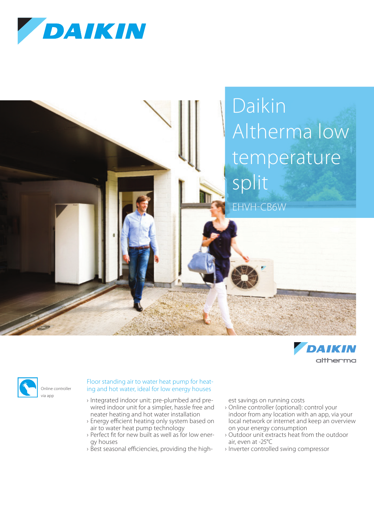







## Floor standing air to water heat pump for heating and hot water, ideal for low energy houses

- › Integrated indoor unit: pre-plumbed and prewired indoor unit for a simpler, hassle free and neater heating and hot water installation
- › Energy efficient heating only system based on air to water heat pump technology
- › Perfect fit for new built as well as for low energy houses
- › Best seasonal efficiencies, providing the high-

est savings on running costs

- › Online controller (optional): control your indoor from any location with an app, via your local network or internet and keep an overview on your energy consumption
- › Outdoor unit extracts heat from the outdoor air, even at -25°C
- › Inverter controlled swing compressor